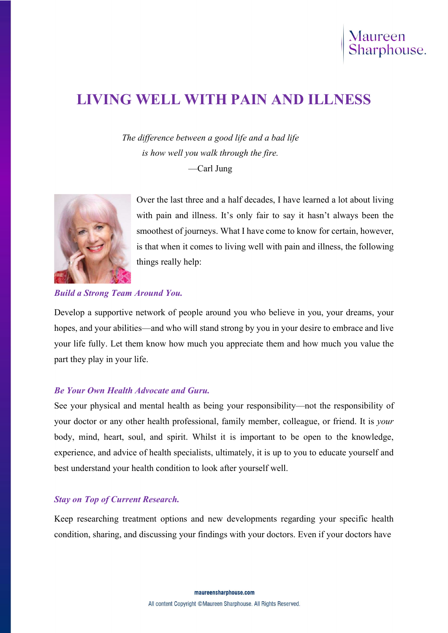# LIVING WELL WITH PAIN AND ILLNESS

The difference between a good life and a bad life is how well you walk through the fire. —Carl Jung



Over the last three and a half decades, I have learned a lot about living with pain and illness. It's only fair to say it hasn't always been the smoothest of journeys. What I have come to know for certain, however, is that when it comes to living well with pain and illness, the following things really help:

#### Build a Strong Team Around You.

Develop a supportive network of people around you who believe in you, your dreams, your hopes, and your abilities—and who will stand strong by you in your desire to embrace and live your life fully. Let them know how much you appreciate them and how much you value the part they play in your life.

#### Be Your Own Health Advocate and Guru.

See your physical and mental health as being your responsibility—not the responsibility of your doctor or any other health professional, family member, colleague, or friend. It is your body, mind, heart, soul, and spirit. Whilst it is important to be open to the knowledge, experience, and advice of health specialists, ultimately, it is up to you to educate yourself and best understand your health condition to look after yourself well.

## Stay on Top of Current Research.

Keep researching treatment options and new developments regarding your specific health condition, sharing, and discussing your findings with your doctors. Even if your doctors have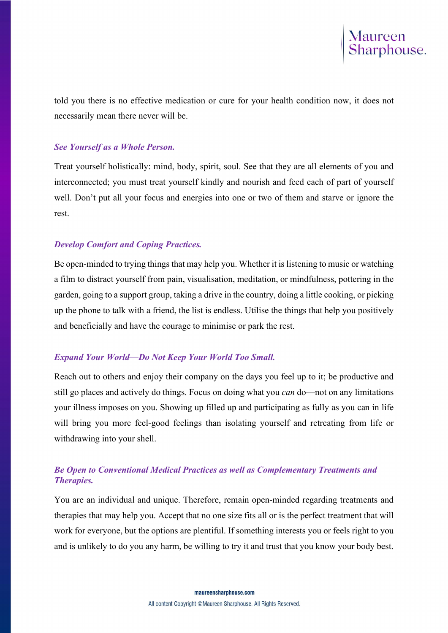told you there is no effective medication or cure for your health condition now, it does not necessarily mean there never will be.

# See Yourself as a Whole Person.

Treat yourself holistically: mind, body, spirit, soul. See that they are all elements of you and interconnected; you must treat yourself kindly and nourish and feed each of part of yourself well. Don't put all your focus and energies into one or two of them and starve or ignore the rest.

# Develop Comfort and Coping Practices.

Be open-minded to trying things that may help you. Whether it is listening to music or watching a film to distract yourself from pain, visualisation, meditation, or mindfulness, pottering in the garden, going to a support group, taking a drive in the country, doing a little cooking, or picking up the phone to talk with a friend, the list is endless. Utilise the things that help you positively and beneficially and have the courage to minimise or park the rest.

# Expand Your World—Do Not Keep Your World Too Small.

Reach out to others and enjoy their company on the days you feel up to it; be productive and still go places and actively do things. Focus on doing what you *can* do—not on any limitations your illness imposes on you. Showing up filled up and participating as fully as you can in life will bring you more feel-good feelings than isolating yourself and retreating from life or withdrawing into your shell.

# Be Open to Conventional Medical Practices as well as Complementary Treatments and Therapies.

You are an individual and unique. Therefore, remain open-minded regarding treatments and therapies that may help you. Accept that no one size fits all or is the perfect treatment that will work for everyone, but the options are plentiful. If something interests you or feels right to you and is unlikely to do you any harm, be willing to try it and trust that you know your body best.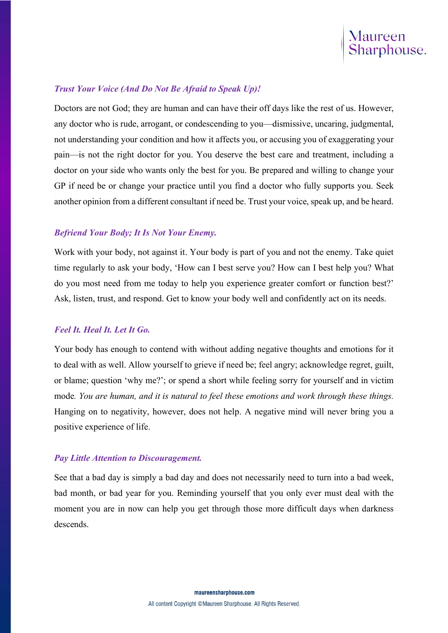

#### Trust Your Voice (And Do Not Be Afraid to Speak Up)!

Doctors are not God; they are human and can have their off days like the rest of us. However, any doctor who is rude, arrogant, or condescending to you—dismissive, uncaring, judgmental, not understanding your condition and how it affects you, or accusing you of exaggerating your pain—is not the right doctor for you. You deserve the best care and treatment, including a doctor on your side who wants only the best for you. Be prepared and willing to change your GP if need be or change your practice until you find a doctor who fully supports you. Seek another opinion from a different consultant if need be. Trust your voice, speak up, and be heard.

#### Befriend Your Body; It Is Not Your Enemy.

Work with your body, not against it. Your body is part of you and not the enemy. Take quiet time regularly to ask your body, 'How can I best serve you? How can I best help you? What do you most need from me today to help you experience greater comfort or function best?' Ask, listen, trust, and respond. Get to know your body well and confidently act on its needs.

#### Feel It. Heal It. Let It Go.

Your body has enough to contend with without adding negative thoughts and emotions for it to deal with as well. Allow yourself to grieve if need be; feel angry; acknowledge regret, guilt, or blame; question 'why me?'; or spend a short while feeling sorry for yourself and in victim mode. You are human, and it is natural to feel these emotions and work through these things. Hanging on to negativity, however, does not help. A negative mind will never bring you a positive experience of life.

#### Pay Little Attention to Discouragement.

See that a bad day is simply a bad day and does not necessarily need to turn into a bad week, bad month, or bad year for you. Reminding yourself that you only ever must deal with the moment you are in now can help you get through those more difficult days when darkness descends.